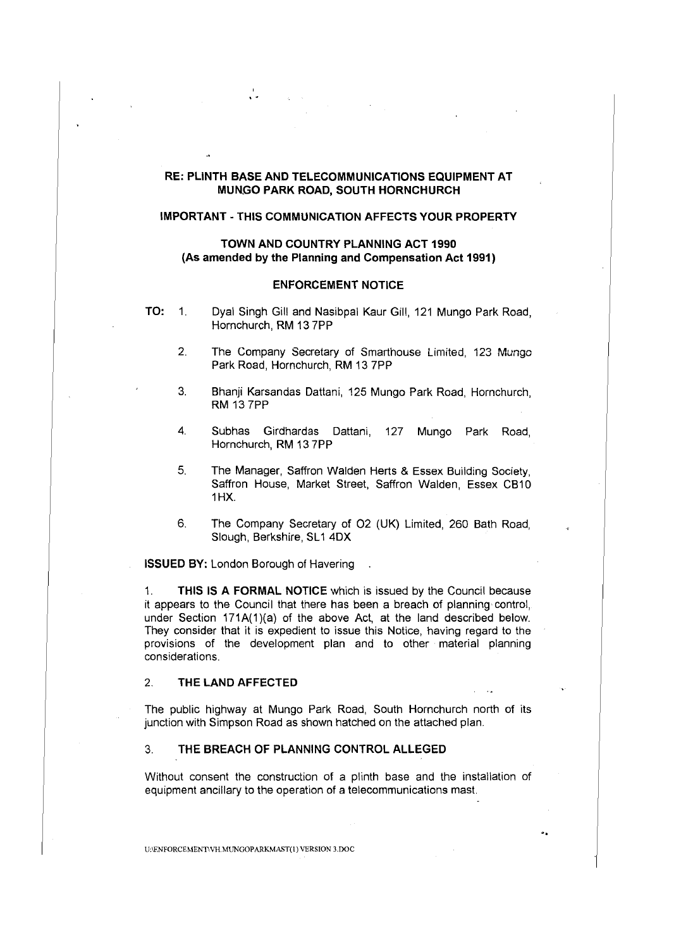# **RE: PLINTH BASE AND TELECOMMUNICATIONS EQUIPMENT AT MUN.GO PARK ROAD, SOUTH HORNCHURCH**

#### **IMPORTANT - THIS COMMUNICATION AFFECTS YOUR PROPERTY**

### **TOWN AND COUNTRY PLANNING ACT 1990 (As amended by the Planning and Compensation Act 1991)**

### **ENFORCEMENT NOTICE**

- 
- **TO:** 1. Dyal Singh Gill and Nasibpal Kaur Gill, 121 Mungo Park Road, Hornchurch, **RM** 13 ?PP
	- 2. The Company Secretary of Smarthouse Limited, 123 Mungo Park Road, Hornchurch, **RM** 13 ?PP
	- 3. Bhanji Karsandas Dattani, 125 Mungo Park Road, Hornchurch, RM 13 ?PP
	- 4. Subhas Girdhardas Dattani, 127 Mungo Park Road, Hornchurch, RM 13 ?PP
	- 5. The Manager, Saffron Walden Herts & Essex Building Society, Saffron House, Market Street, Saffron Walden, Essex CB10 1HX.
	- 6. The Company Secretary of 02 (UK) Limited, 260 Bath Road, Slough, Berkshire, SL1 4DX

**ISSUED BY:** London Borough of Havering .

..

1. **THIS IS A FORMAL NOTICE** which is issued by the Council because it appears to the Council that there has been a breach of planning· control, under Section 171A(1)(a) of the above Act, at the land described below. They consider that it is expedient to issue this Notice, having regard to the provisions of the development plan and to other material planning considerations.

### 2. **THE LAND AFFECTED**

The public highway at Mungo Park Road, South Hornchurch north of its junction with Simpson Road as shown hatched on the attached plan.

### 3. **THE BREACH OF PLANNING CONTROL ALLEGED**

Without consent the construction of a plinth base and the installation of equipment ancillary to the operation of a telecommunications mast.

..

Uo\ENFORCEMENT\VH.MUNGOPARKMAST(l) VERSION 3.00C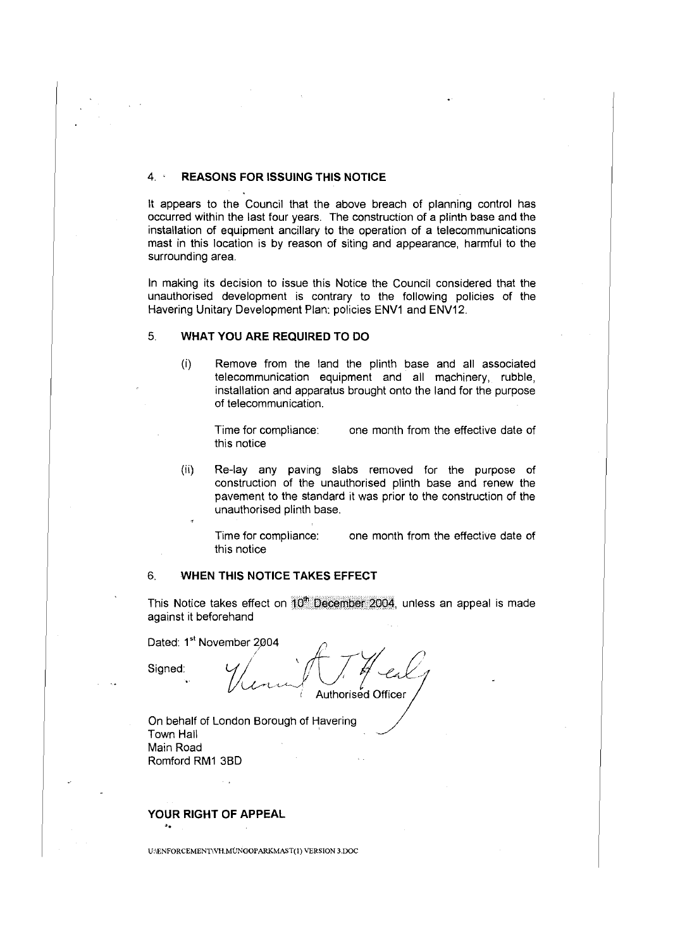# 4. **REASONS FOR ISSUING THIS NOTICE**

It appears to the Council that the above breach of planning control has occurred within the last four years. The construction of a plinth base and the installation of equipment ancillary to the operation of a telecommunications mast in this location is by reason of siting and appearance, harmful to the surrounding area.

In making its decision to issue this Notice the Council considered that the unauthorised development is contrary to the following policies of the Havering Unitary Development Plan: policies ENV1 and ENV12.

# 5. **WHAT YOU ARE REQUIRED TO DO**

(i) Remove from the land the plinth base and all associated telecommunication equipment and all machinery, rubble, installation and apparatus brought onto the land for the purpose of telecommunication.

Time for compliance: one month from the effective date of this notice

(ii) Re-lay any paving slabs removed for the purpose of construction of the unauthorised plinth base and renew the pavement to the standard it was prior to the construction of the unauthorised plinth base.

Time for compliance: one month from the effective date of this notice

# 6. **WHEN THIS NOTICE TAKES EFFECT**

This Notice takes effect on  $10^{\circ}$  December 2004, unless an appeal is made against it beforehand

Dated: 1<sup>st</sup> November 2004 $\qquad \qquad \qquad \qquad \qquad \qquad$ Dated: 1<sup>st</sup> November 2004<br>Signed: Cf*j / H* C<sub>c</sub> mber 2004<br>*(Junie 174 enl)*<br>Authorised Officer

On behalf of London Borough of Havering Town Hall Main Road Romford RM1 3BD

**YOUR RIGHT OF APPEAL** ..

UNENFORCEMENTWH.MUNGOPARKMAST(1) VERSION 3.DOC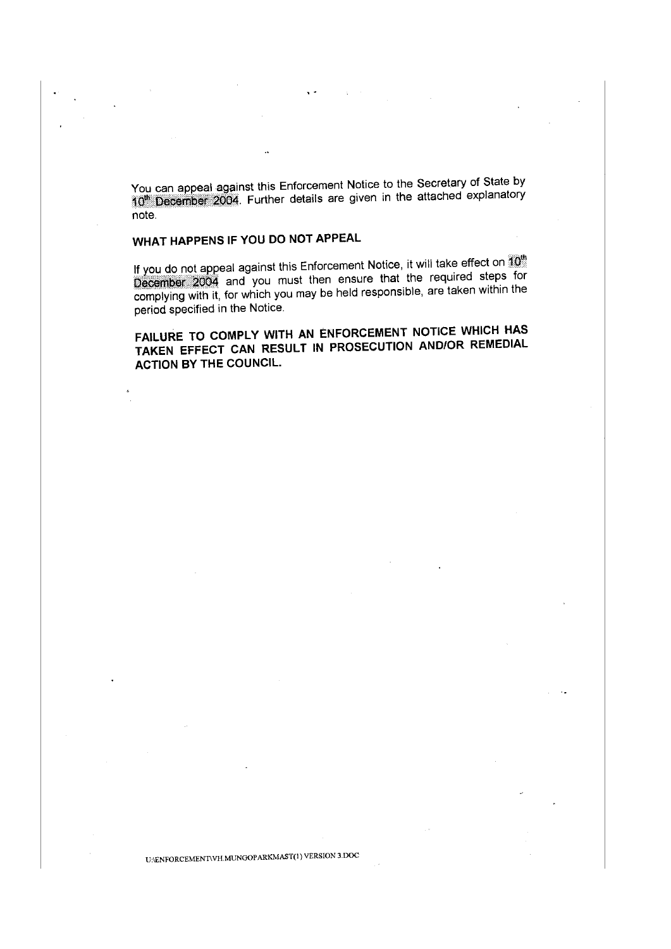You can appeal against this Enforcement Notice to the Secretary of State by 10<sup>th</sup> December 2004. Further details are given in the attached explanatory note.

# **WHAT HAPPENS IF YOU DO NOT APPEAL**

If you do not appeal against this Enforcement Notice, it will take effect on  $\widehat{10}^{\text{th}}$ . December 2004 and you must then ensure that the required steps for complying with it, for which you may be held responsible, are taken within the period specified in the Notice.

**FAILURE TO COMPLY WITH AN ENFORCEMENT NOTICE WHICH HAS TAKEN EFFECT CAN RESULT IN PROSECUTION AND/OR REMEDIAL ACTION BY THE COUNCIL.**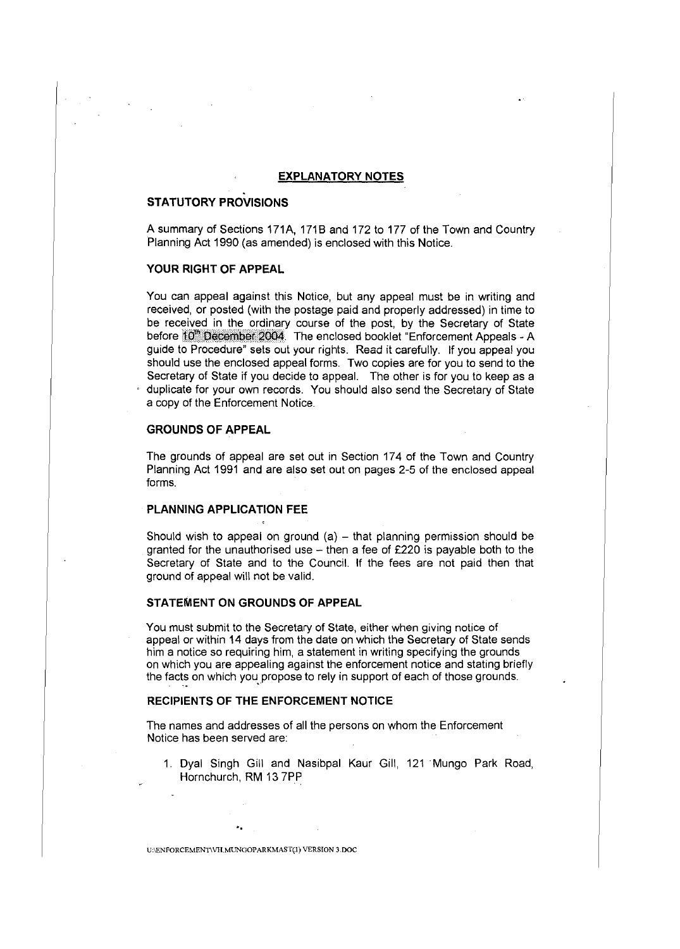# **EXPLANATORY NOTES**

### **STATUTORY PROVISIONS**

A summary of Sections 171A, 1718 and 172 to 177 of the Town and Country Planning Act 1990 (as amended) is enclosed with this Notice.

### **YOUR RIGHT OF APPEAL**

You can appeal against this Notice, but any appeal must be in writing and received, or posted (with the postage paid and properly addressed) in time to be received in the ordinary course of the post, by the Secretary of State before 10<sup>th</sup> December 2004. The enclosed booklet "Enforcement Appeals - A guide to Procedure" sets out your rights. Read it carefully. If you appeal you should use the enclosed appeal forms. Two copies are for you to send to the Secretary of State if you decide to appeal. The other is for you to keep as a duplicate for your own records. You should also send the Secretary of State a copy of the Enforcement Notice.

### **GROUNDS OF APPEAL**

The grounds of appeal are set out in Section 174 of the Town and Country Planning Act 1991 and are also set out on pages 2-5 of the enclosed appeal forms.

### **PLANNING APPLICATION FEE**

Should wish to appeal on ground  $(a)$  – that planning permission should be granted for the unauthorised use  $-$  then a fee of £220 is payable both to the Secretary of State and to the Council. If the fees are not paid then that ground of appeal will not be valid.

### **STATEMENT ON GROUNDS OF APPEAL**

You must submit to the Secretary of State, either when giving notice of appeal or within 14 days from the date on which the Secretary of State sends him a notice so requiring him, a statement in writing specifying the grounds on which you are appealing against the enforcement notice and stating briefly the facts on which you propose to rely in support of each of those grounds.

### **RECIPIENTS OF THE ENFORCEMENT NOTICE**

The names and addresses of all the persons on whom the Enforcement Notice has been served are:

1. Dyal Singh Gill and Nasibpal Kaur Gill, 121 Mungo Park Road, Hornchurch, RM 13 7PP

U•\ENFORCEMENTIVH.MUNGOPARKMAST(I) VERSION 3.DOC

..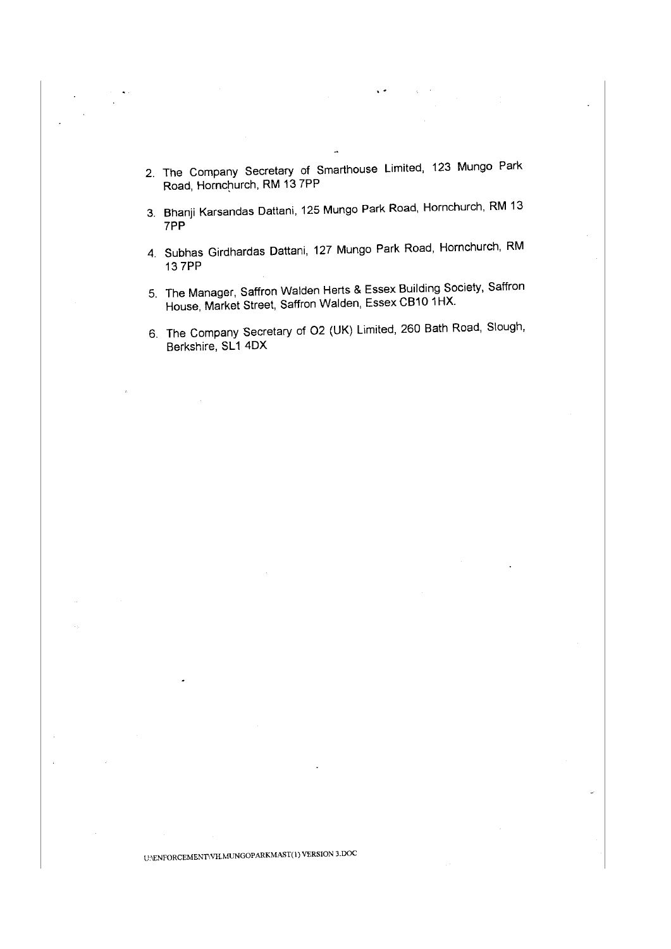2. The Company Secretary of Smarthouse Limited, 123 Mungo Park Road, Hornchurch, RM 13 7PP

..

- 3. Bhanji Karsandas Dattani, 125 Mungo Park Road, Hornchurch, RM 13 7PP
- 4. Subhas Girdhardas Dattani, 127 Mungo Park Road, Hornchurch, RM 13 7PP
- 5. The Manager, Saffron Walden Herts & Essex Building Society, Saffron House, Market Street, Saffron Walden, Essex CB10 1HX.
- 6. The Company Secretary of 02 (UK) Limited, 260 Bath Road, Slough, Berkshire, SL1 4DX

# U:\ENFORCEMENnVH.MUNGOPARKMAST(l) VERSION 3.DOC